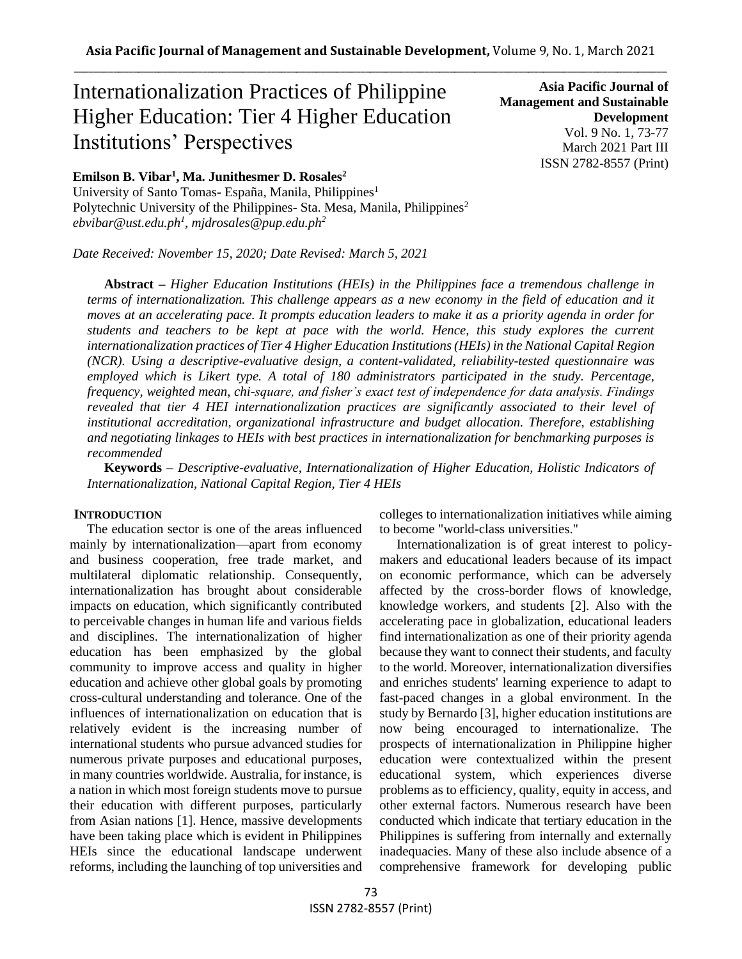# Internationalization Practices of Philippine Higher Education: Tier 4 Higher Education Institutions' Perspectives

**Emilson B. Vibar<sup>1</sup> , Ma. Junithesmer D. Rosales<sup>2</sup>**

University of Santo Tomas- España, Manila, Philippines<sup>1</sup> Polytechnic University of the Philippines- Sta. Mesa, Manila, Philippines<sup>2</sup> *ebvibar@ust.edu.ph<sup>1</sup> , mjdrosales@pup.edu.ph<sup>2</sup>*

*Date Received: November 15, 2020; Date Revised: March 5, 2021*

**Asia Pacific Journal of Management and Sustainable Development**  Vol. 9 No. 1, 73-77 March 2021 Part III ISSN 2782-8557 (Print)

**Abstract** *– Higher Education Institutions (HEIs) in the Philippines face a tremendous challenge in terms of internationalization. This challenge appears as a new economy in the field of education and it moves at an accelerating pace. It prompts education leaders to make it as a priority agenda in order for students and teachers to be kept at pace with the world. Hence, this study explores the current internationalization practices of Tier 4 Higher Education Institutions (HEIs) in the National Capital Region (NCR). Using a descriptive-evaluative design, a content-validated, reliability-tested questionnaire was employed which is Likert type. A total of 180 administrators participated in the study. Percentage, frequency, weighted mean, chi-square, and fisher's exact test of independence for data analysis. Findings revealed that tier 4 HEI internationalization practices are significantly associated to their level of institutional accreditation, organizational infrastructure and budget allocation. Therefore, establishing and negotiating linkages to HEIs with best practices in internationalization for benchmarking purposes is recommended*

**Keywords** *– Descriptive-evaluative, Internationalization of Higher Education, Holistic Indicators of Internationalization, National Capital Region, Tier 4 HEIs*

#### **INTRODUCTION**

The education sector is one of the areas influenced mainly by internationalization—apart from economy and business cooperation, free trade market, and multilateral diplomatic relationship. Consequently, internationalization has brought about considerable impacts on education, which significantly contributed to perceivable changes in human life and various fields and disciplines. The internationalization of higher education has been emphasized by the global community to improve access and quality in higher education and achieve other global goals by promoting cross-cultural understanding and tolerance. One of the influences of internationalization on education that is relatively evident is the increasing number of international students who pursue advanced studies for numerous private purposes and educational purposes, in many countries worldwide. Australia, for instance, is a nation in which most foreign students move to pursue their education with different purposes, particularly from Asian nations [1]. Hence, massive developments have been taking place which is evident in Philippines HEIs since the educational landscape underwent reforms, including the launching of top universities and colleges to internationalization initiatives while aiming to become "world-class universities."

Internationalization is of great interest to policymakers and educational leaders because of its impact on economic performance, which can be adversely affected by the cross-border flows of knowledge, knowledge workers, and students [2]. Also with the accelerating pace in globalization, educational leaders find internationalization as one of their priority agenda because they want to connect their students, and faculty to the world. Moreover, internationalization diversifies and enriches students' learning experience to adapt to fast-paced changes in a global environment. In the study by Bernardo [3], higher education institutions are now being encouraged to internationalize. The prospects of internationalization in Philippine higher education were contextualized within the present educational system, which experiences diverse problems as to efficiency, quality, equity in access, and other external factors. Numerous research have been conducted which indicate that tertiary education in the Philippines is suffering from internally and externally inadequacies. Many of these also include absence of a comprehensive framework for developing public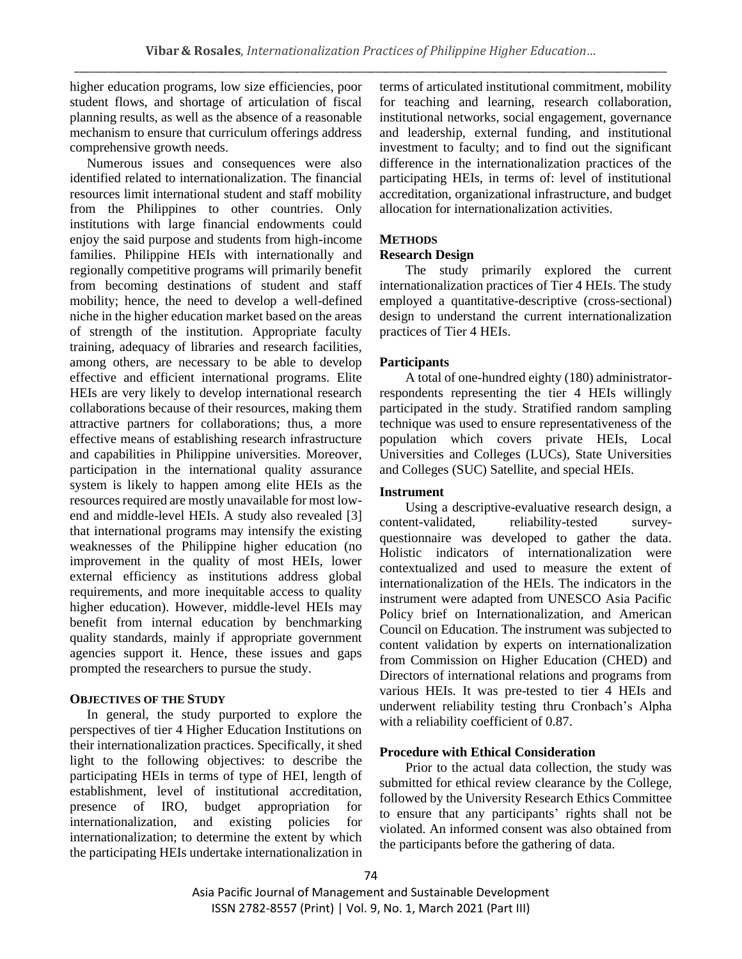higher education programs, low size efficiencies, poor student flows, and shortage of articulation of fiscal planning results, as well as the absence of a reasonable mechanism to ensure that curriculum offerings address comprehensive growth needs.

Numerous issues and consequences were also identified related to internationalization. The financial resources limit international student and staff mobility from the Philippines to other countries. Only institutions with large financial endowments could enjoy the said purpose and students from high-income families. Philippine HEIs with internationally and regionally competitive programs will primarily benefit from becoming destinations of student and staff mobility; hence, the need to develop a well-defined niche in the higher education market based on the areas of strength of the institution. Appropriate faculty training, adequacy of libraries and research facilities, among others, are necessary to be able to develop effective and efficient international programs. Elite HEIs are very likely to develop international research collaborations because of their resources, making them attractive partners for collaborations; thus, a more effective means of establishing research infrastructure and capabilities in Philippine universities. Moreover, participation in the international quality assurance system is likely to happen among elite HEIs as the resources required are mostly unavailable for most lowend and middle-level HEIs. A study also revealed [3] that international programs may intensify the existing weaknesses of the Philippine higher education (no improvement in the quality of most HEIs, lower external efficiency as institutions address global requirements, and more inequitable access to quality higher education). However, middle-level HEIs may benefit from internal education by benchmarking quality standards, mainly if appropriate government agencies support it. Hence, these issues and gaps prompted the researchers to pursue the study.

#### **OBJECTIVES OF THE STUDY**

In general, the study purported to explore the perspectives of tier 4 Higher Education Institutions on their internationalization practices. Specifically, it shed light to the following objectives: to describe the participating HEIs in terms of type of HEI, length of establishment, level of institutional accreditation, presence of IRO, budget appropriation for internationalization, and existing policies for internationalization; to determine the extent by which the participating HEIs undertake internationalization in terms of articulated institutional commitment, mobility for teaching and learning, research collaboration, institutional networks, social engagement, governance and leadership, external funding, and institutional investment to faculty; and to find out the significant difference in the internationalization practices of the participating HEIs, in terms of: level of institutional accreditation, organizational infrastructure, and budget allocation for internationalization activities.

# **METHODS**

## **Research Design**

The study primarily explored the current internationalization practices of Tier 4 HEIs. The study employed a quantitative-descriptive (cross-sectional) design to understand the current internationalization practices of Tier 4 HEIs.

### **Participants**

A total of one-hundred eighty (180) administratorrespondents representing the tier 4 HEIs willingly participated in the study. Stratified random sampling technique was used to ensure representativeness of the population which covers private HEIs, Local Universities and Colleges (LUCs), State Universities and Colleges (SUC) Satellite, and special HEIs.

#### **Instrument**

Using a descriptive-evaluative research design, a content-validated, reliability-tested surveyquestionnaire was developed to gather the data. Holistic indicators of internationalization were contextualized and used to measure the extent of internationalization of the HEIs. The indicators in the instrument were adapted from UNESCO Asia Pacific Policy brief on Internationalization, and American Council on Education. The instrument was subjected to content validation by experts on internationalization from Commission on Higher Education (CHED) and Directors of international relations and programs from various HEIs. It was pre-tested to tier 4 HEIs and underwent reliability testing thru Cronbach's Alpha with a reliability coefficient of 0.87.

### **Procedure with Ethical Consideration**

Prior to the actual data collection, the study was submitted for ethical review clearance by the College, followed by the University Research Ethics Committee to ensure that any participants' rights shall not be violated. An informed consent was also obtained from the participants before the gathering of data.

Asia Pacific Journal of Management and Sustainable Development ISSN 2782-8557 (Print) | Vol. 9, No. 1, March 2021 (Part III)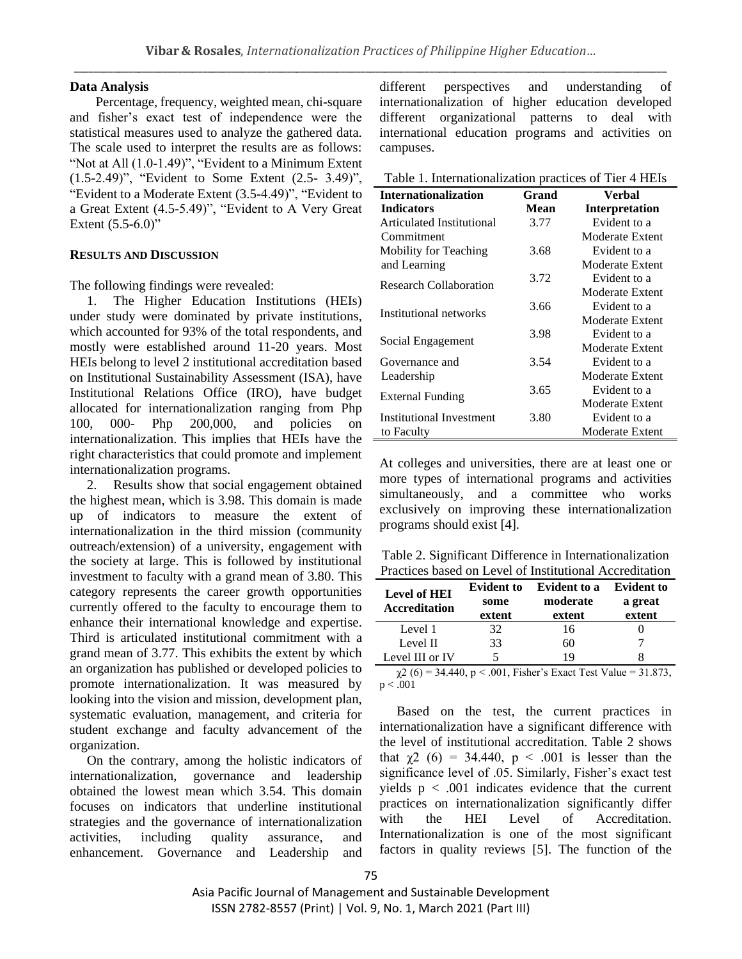#### **Data Analysis**

Percentage, frequency, weighted mean, chi-square and fisher's exact test of independence were the statistical measures used to analyze the gathered data. The scale used to interpret the results are as follows: "Not at All (1.0-1.49)", "Evident to a Minimum Extent (1.5-2.49)", "Evident to Some Extent (2.5- 3.49)", "Evident to a Moderate Extent (3.5-4.49)", "Evident to a Great Extent (4.5-5.49)", "Evident to A Very Great Extent  $(5.5-6.0)$ "

### **RESULTS AND DISCUSSION**

The following findings were revealed:

1. The Higher Education Institutions (HEIs) under study were dominated by private institutions, which accounted for 93% of the total respondents, and mostly were established around 11-20 years. Most HEIs belong to level 2 institutional accreditation based on Institutional Sustainability Assessment (ISA), have Institutional Relations Office (IRO), have budget allocated for internationalization ranging from Php 100, 000- Php 200,000, and policies on internationalization. This implies that HEIs have the right characteristics that could promote and implement internationalization programs.

2. Results show that social engagement obtained the highest mean, which is 3.98. This domain is made up of indicators to measure the extent of internationalization in the third mission (community outreach/extension) of a university, engagement with the society at large. This is followed by institutional investment to faculty with a grand mean of 3.80. This category represents the career growth opportunities currently offered to the faculty to encourage them to enhance their international knowledge and expertise. Third is articulated institutional commitment with a grand mean of 3.77. This exhibits the extent by which an organization has published or developed policies to promote internationalization. It was measured by looking into the vision and mission, development plan, systematic evaluation, management, and criteria for student exchange and faculty advancement of the organization.

On the contrary, among the holistic indicators of internationalization, governance and leadership obtained the lowest mean which 3.54. This domain focuses on indicators that underline institutional strategies and the governance of internationalization activities, including quality assurance, and enhancement. Governance and Leadership and different perspectives and understanding of internationalization of higher education developed different organizational patterns to deal with international education programs and activities on campuses.

Table 1. Internationalization practices of Tier 4 HEIs

| <b>Internationalization</b>     | Grand | <b>Verbal</b>         |
|---------------------------------|-------|-----------------------|
| <b>Indicators</b>               | Mean  | <b>Interpretation</b> |
| Articulated Institutional       | 3.77  | Evident to a          |
| Commitment                      |       | Moderate Extent       |
| Mobility for Teaching           | 3.68  | Evident to a          |
| and Learning                    |       | Moderate Extent       |
| <b>Research Collaboration</b>   | 3.72  | Evident to a          |
|                                 |       | Moderate Extent       |
|                                 | 3.66  | Evident to a          |
| Institutional networks          |       | Moderate Extent       |
|                                 | 3.98  | Evident to a          |
| Social Engagement               |       | Moderate Extent       |
| Governance and                  | 3.54  | Evident to a          |
| Leadership                      |       | Moderate Extent       |
|                                 | 3.65  | Evident to a          |
| External Funding                |       | Moderate Extent       |
| <b>Institutional Investment</b> | 3.80  | Evident to a          |
| to Faculty                      |       | Moderate Extent       |

At colleges and universities, there are at least one or more types of international programs and activities simultaneously, and a committee who works exclusively on improving these internationalization programs should exist [4].

Table 2. Significant Difference in Internationalization Practices based on Level of Institutional Accreditation

| <b>Level of HEI</b><br><b>Accreditation</b> | <b>Evident to</b><br>some<br>extent | <b>Evident to a</b><br>moderate<br>extent | <b>Evident to</b><br>a great<br>extent |
|---------------------------------------------|-------------------------------------|-------------------------------------------|----------------------------------------|
| Level 1                                     | 32                                  | 16                                        |                                        |
| Level II                                    | 33                                  | 60                                        |                                        |
| Level III or IV                             |                                     | 19                                        |                                        |

 $\chi^2$  (6) = 34.440, p < .001, Fisher's Exact Test Value = 31.873,  $p < .001$ 

Based on the test, the current practices in internationalization have a significant difference with the level of institutional accreditation. Table 2 shows that  $χ2$  (6) = 34.440,  $p < .001$  is lesser than the significance level of .05. Similarly, Fisher's exact test yields  $p < .001$  indicates evidence that the current practices on internationalization significantly differ with the HEI Level of Accreditation. Internationalization is one of the most significant factors in quality reviews [5]. The function of the

Asia Pacific Journal of Management and Sustainable Development ISSN 2782-8557 (Print) | Vol. 9, No. 1, March 2021 (Part III)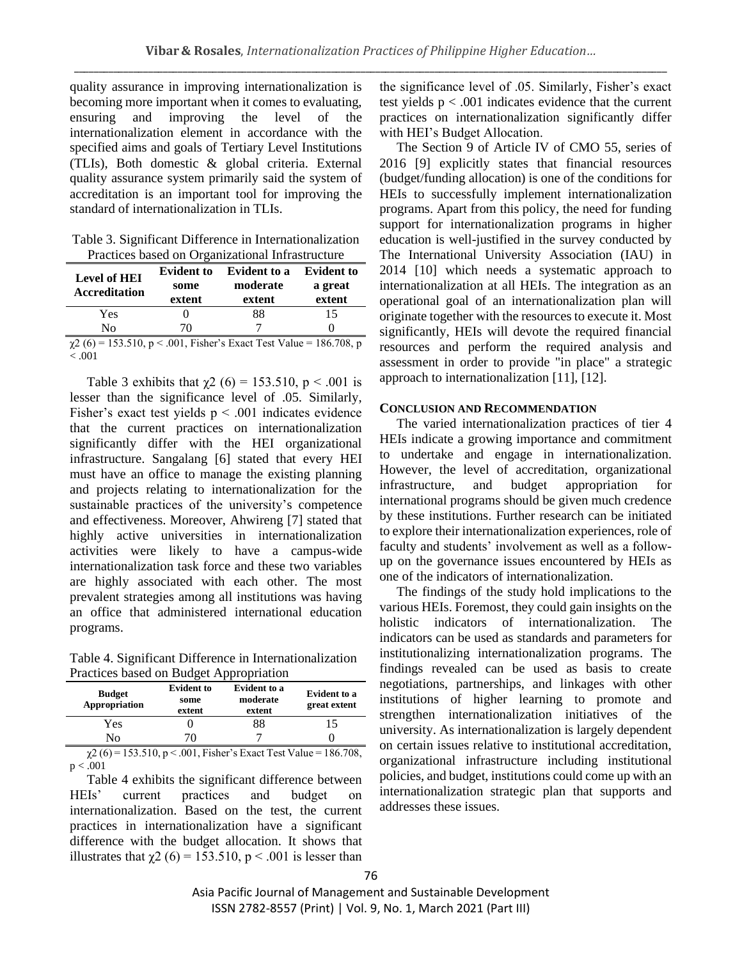quality assurance in improving internationalization is becoming more important when it comes to evaluating, ensuring and improving the level of the internationalization element in accordance with the specified aims and goals of Tertiary Level Institutions (TLIs), Both domestic & global criteria. External quality assurance system primarily said the system of accreditation is an important tool for improving the standard of internationalization in TLIs.

| Table 3. Significant Difference in Internationalization |
|---------------------------------------------------------|
| Practices based on Organizational Infrastructure        |

| <b>Level of HEI</b><br><b>Accreditation</b>                                          | <b>Evident to</b><br>some<br>extent | <b>Evident to a</b><br>moderate<br>extent | <b>Evident to</b><br>a great<br>extent |
|--------------------------------------------------------------------------------------|-------------------------------------|-------------------------------------------|----------------------------------------|
| Yes                                                                                  |                                     | 88                                        | 15                                     |
| No                                                                                   | 70                                  |                                           |                                        |
| $\omega$ (6) = 152.510 $\omega$ = 001. Figher's Expect Test Value = 196.709 $\omega$ |                                     |                                           |                                        |

 $\chi$ 2 (6) = 153.510, p < .001, Fisher's Exact Test Value = 186.708, p  $< .001$ 

Table 3 exhibits that  $\gamma$ 2 (6) = 153.510, p < .001 is lesser than the significance level of .05. Similarly, Fisher's exact test yields  $p < .001$  indicates evidence that the current practices on internationalization significantly differ with the HEI organizational infrastructure. Sangalang [6] stated that every HEI must have an office to manage the existing planning and projects relating to internationalization for the sustainable practices of the university's competence and effectiveness. Moreover, Ahwireng [7] stated that highly active universities in internationalization activities were likely to have a campus-wide internationalization task force and these two variables are highly associated with each other. The most prevalent strategies among all institutions was having an office that administered international education programs.

Table 4. Significant Difference in Internationalization Practices based on Budget Appropriation

| <b>Budget</b><br>Appropriation | <b>Evident to</b><br>some<br>extent | Evident to a<br>moderate<br>extent | Evident to a<br>great extent |
|--------------------------------|-------------------------------------|------------------------------------|------------------------------|
| Yes<br>No                      |                                     | 88                                 | 15                           |
| _ _ _ _ _ _ _ _ _              | .                                   |                                    | .<br>___                     |

 $\chi$ 2 (6) = 153.510, p < .001, Fisher's Exact Test Value = 186.708,  $p < .001$ 

Table 4 exhibits the significant difference between HEIs' current practices and budget on internationalization. Based on the test, the current practices in internationalization have a significant difference with the budget allocation. It shows that illustrates that  $\chi$ 2 (6) = 153.510, p < .001 is lesser than

the significance level of .05. Similarly, Fisher's exact test yields  $p < .001$  indicates evidence that the current practices on internationalization significantly differ with HEI's Budget Allocation.

The Section 9 of Article IV of CMO 55, series of 2016 [9] explicitly states that financial resources (budget/funding allocation) is one of the conditions for HEIs to successfully implement internationalization programs. Apart from this policy, the need for funding support for internationalization programs in higher education is well-justified in the survey conducted by The International University Association (IAU) in 2014 [10] which needs a systematic approach to internationalization at all HEIs. The integration as an operational goal of an internationalization plan will originate together with the resources to execute it. Most significantly, HEIs will devote the required financial resources and perform the required analysis and assessment in order to provide "in place" a strategic approach to internationalization [11], [12].

#### **CONCLUSION AND RECOMMENDATION**

The varied internationalization practices of tier 4 HEIs indicate a growing importance and commitment to undertake and engage in internationalization. However, the level of accreditation, organizational infrastructure, and budget appropriation for international programs should be given much credence by these institutions. Further research can be initiated to explore their internationalization experiences, role of faculty and students' involvement as well as a followup on the governance issues encountered by HEIs as one of the indicators of internationalization.

The findings of the study hold implications to the various HEIs. Foremost, they could gain insights on the holistic indicators of internationalization. The indicators can be used as standards and parameters for institutionalizing internationalization programs. The findings revealed can be used as basis to create negotiations, partnerships, and linkages with other institutions of higher learning to promote and strengthen internationalization initiatives of the university. As internationalization is largely dependent on certain issues relative to institutional accreditation, organizational infrastructure including institutional policies, and budget, institutions could come up with an internationalization strategic plan that supports and addresses these issues.

Asia Pacific Journal of Management and Sustainable Development ISSN 2782-8557 (Print) | Vol. 9, No. 1, March 2021 (Part III)